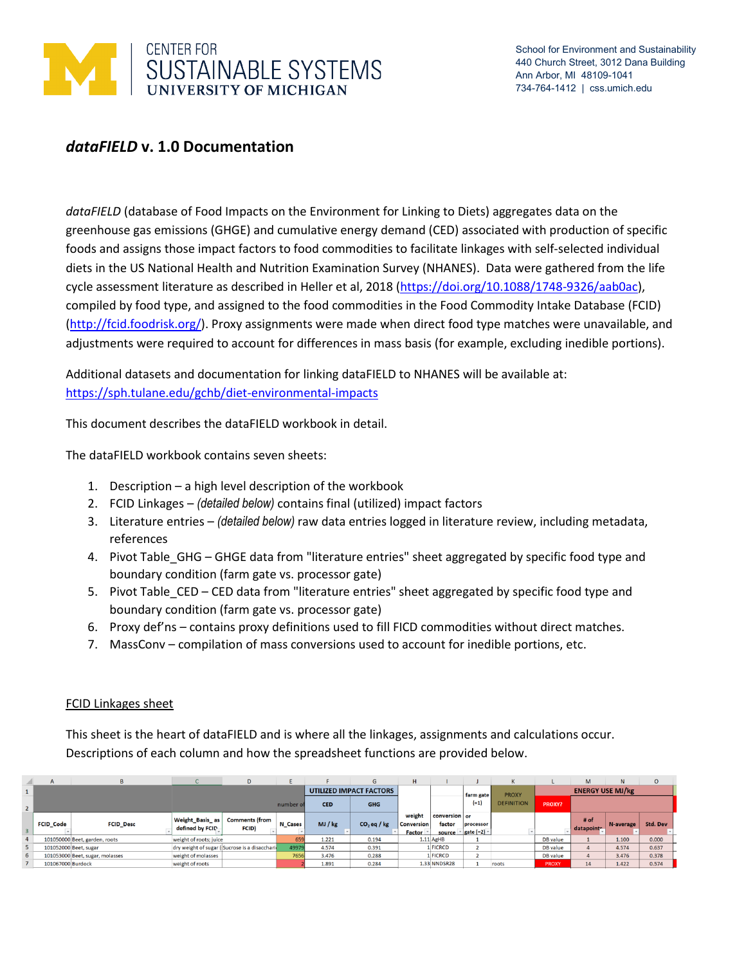

# *dataFIELD* **v. 1.0 Documentation**

*dataFIELD* (database of Food Impacts on the Environment for Linking to Diets) aggregates data on the greenhouse gas emissions (GHGE) and cumulative energy demand (CED) associated with production of specific foods and assigns those impact factors to food commodities to facilitate linkages with self-selected individual diets in the US National Health and Nutrition Examination Survey (NHANES). Data were gathered from the life cycle assessment literature as described in Heller et al, 2018 [\(https://doi.org/10.1088/1748-9326/aab0ac\)](https://doi.org/10.1088/1748-9326/aab0ac), compiled by food type, and assigned to the food commodities in the Food Commodity Intake Database (FCID) [\(http://fcid.foodrisk.org/\)](http://fcid.foodrisk.org/). Proxy assignments were made when direct food type matches were unavailable, and adjustments were required to account for differences in mass basis (for example, excluding inedible portions).

Additional datasets and documentation for linking dataFIELD to NHANES will be available at: <https://sph.tulane.edu/gchb/diet-environmental-impacts>

This document describes the dataFIELD workbook in detail.

The dataFIELD workbook contains seven sheets:

- 1. Description a high level description of the workbook
- 2. FCID Linkages *(detailed below)* contains final (utilized) impact factors
- 3. Literature entries *(detailed below)* raw data entries logged in literature review, including metadata, references
- 4. Pivot Table\_GHG GHGE data from "literature entries" sheet aggregated by specific food type and boundary condition (farm gate vs. processor gate)
- 5. Pivot Table CED CED data from "literature entries" sheet aggregated by specific food type and boundary condition (farm gate vs. processor gate)
- 6. Proxy def'ns contains proxy definitions used to fill FICD commodities without direct matches.
- 7. MassConv compilation of mass conversions used to account for inedible portions, etc.

#### FCID Linkages sheet

This sheet is the heart of dataFIELD and is where all the linkages, assignments and calculations occur. Descriptions of each column and how the spreadsheet functions are provided below.

|                | $\mathsf{A}$      |                                 |                                           | D                                            |                |                         | G             | H                                            |                         |                                                       |                   |                         | M                  | N         | $\circ$  |
|----------------|-------------------|---------------------------------|-------------------------------------------|----------------------------------------------|----------------|-------------------------|---------------|----------------------------------------------|-------------------------|-------------------------------------------------------|-------------------|-------------------------|--------------------|-----------|----------|
|                |                   |                                 |                                           |                                              |                | UTILIZED IMPACT FACTORS |               |                                              |                         | farm gate                                             | <b>PROXY</b>      | <b>ENERGY USE MJ/kg</b> |                    |           |          |
|                |                   |                                 |                                           |                                              | number of      | <b>CED</b>              | <b>GHG</b>    |                                              |                         | $(-1)$                                                | <b>DEFINITION</b> | <b>PROXY?</b>           |                    |           |          |
|                | <b>FCID Code</b>  | <b>FCID Desc</b>                | <b>Weight_Basis_as</b><br>defined by FCID | <b>Comments (from</b><br><b>FCID)</b>        | <b>N</b> Cases | MJ/kg                   | $CO2$ eq / kg | weight<br><b>Conversion</b><br><b>Factor</b> | conversion or<br>factor | processor<br>source $  \cdot  $ gate (=2) $  \cdot  $ |                   |                         | # of<br>datapoint- | N-average | Std. Dev |
|                |                   | 101050000 Beet, garden, roots   | weight of roots; juice                    |                                              | 659            | 1.221                   | 0.194         |                                              | $1.11$ AgHB             |                                                       |                   | <b>DB</b> value         |                    | 1.100     | 0.000    |
|                |                   | 101052000 Beet, sugar           |                                           | dry weight of sugar (Sucrose is a disacchari | 49979          | 4.574                   | 0.391         |                                              | 1 FICRCD                |                                                       |                   | DB value                |                    | 4.574     | 0.637    |
| 6 <sup>1</sup> |                   | 101053000 Beet, sugar, molasses | weight of molasses                        |                                              | 7656           | 3,476                   | 0.288         |                                              | <b>FICRCD</b>           |                                                       |                   | DB value                |                    | 3.476     | 0.378    |
|                | 101067000 Burdock |                                 | weight of roots                           |                                              |                | 1.891                   | 0.284         |                                              | $1.33$ NNDSR28          |                                                       | roots             | <b>PROXY</b>            | 14                 | 1.422     | 0.574    |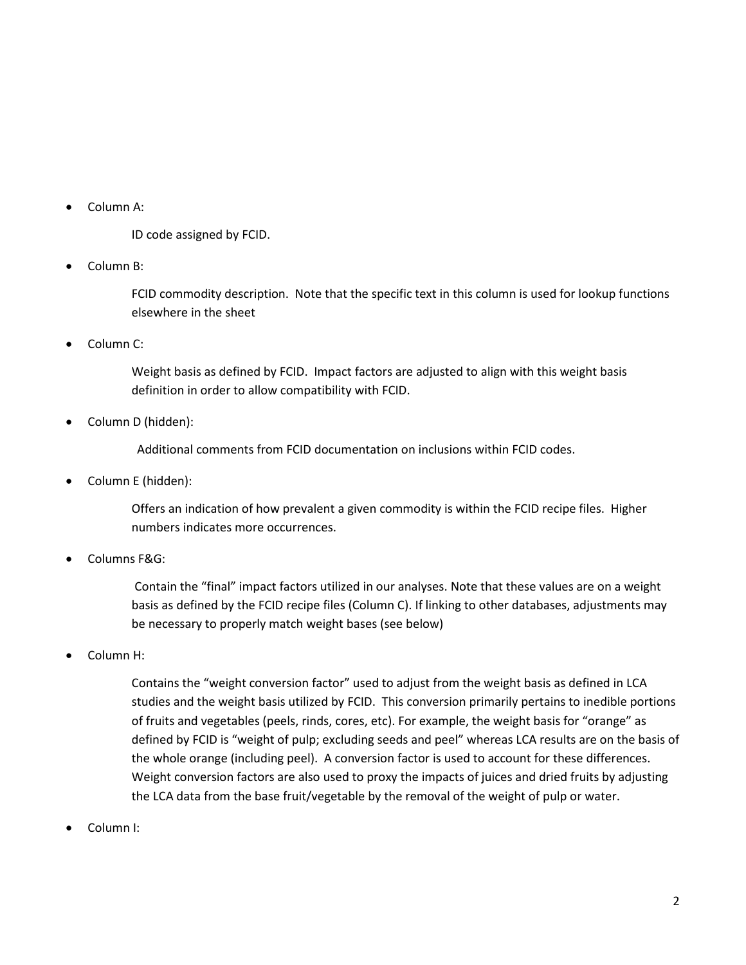• Column A:

ID code assigned by FCID.

• Column B:

FCID commodity description. Note that the specific text in this column is used for lookup functions elsewhere in the sheet

• Column C:

Weight basis as defined by FCID. Impact factors are adjusted to align with this weight basis definition in order to allow compatibility with FCID.

• Column D (hidden):

Additional comments from FCID documentation on inclusions within FCID codes.

• Column E (hidden):

Offers an indication of how prevalent a given commodity is within the FCID recipe files. Higher numbers indicates more occurrences.

• Columns F&G:

Contain the "final" impact factors utilized in our analyses. Note that these values are on a weight basis as defined by the FCID recipe files (Column C). If linking to other databases, adjustments may be necessary to properly match weight bases (see below)

• Column H:

Contains the "weight conversion factor" used to adjust from the weight basis as defined in LCA studies and the weight basis utilized by FCID. This conversion primarily pertains to inedible portions of fruits and vegetables (peels, rinds, cores, etc). For example, the weight basis for "orange" as defined by FCID is "weight of pulp; excluding seeds and peel" whereas LCA results are on the basis of the whole orange (including peel). A conversion factor is used to account for these differences. Weight conversion factors are also used to proxy the impacts of juices and dried fruits by adjusting the LCA data from the base fruit/vegetable by the removal of the weight of pulp or water.

• Column I: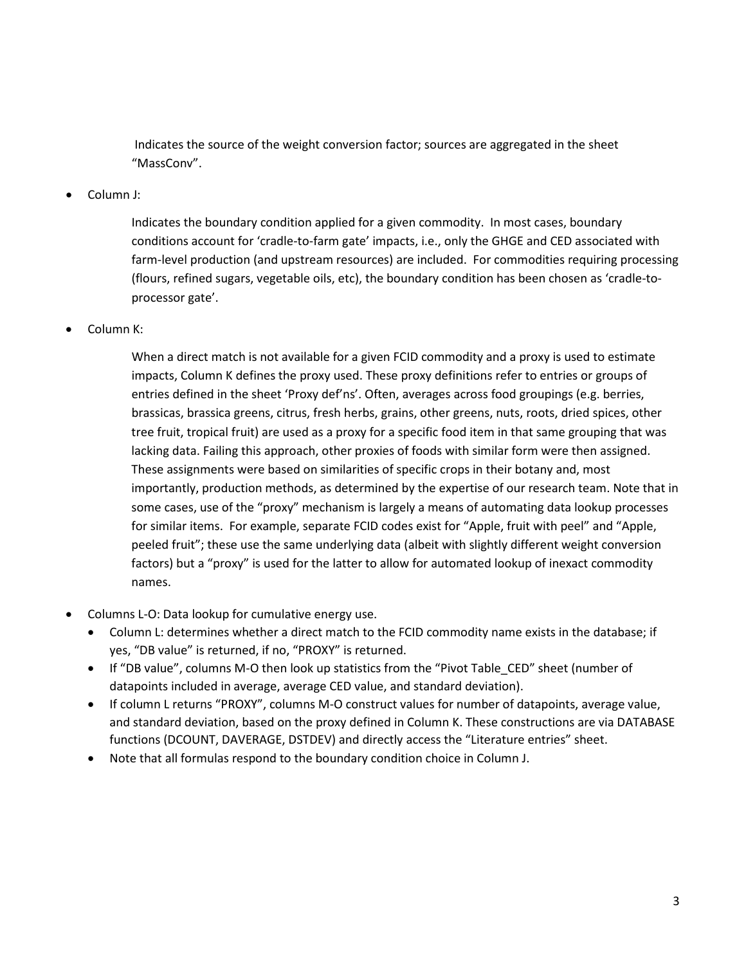Indicates the source of the weight conversion factor; sources are aggregated in the sheet "MassConv".

• Column J:

Indicates the boundary condition applied for a given commodity. In most cases, boundary conditions account for 'cradle-to-farm gate' impacts, i.e., only the GHGE and CED associated with farm-level production (and upstream resources) are included. For commodities requiring processing (flours, refined sugars, vegetable oils, etc), the boundary condition has been chosen as 'cradle-toprocessor gate'.

• Column K:

When a direct match is not available for a given FCID commodity and a proxy is used to estimate impacts, Column K defines the proxy used. These proxy definitions refer to entries or groups of entries defined in the sheet 'Proxy def'ns'. Often, averages across food groupings (e.g. berries, brassicas, brassica greens, citrus, fresh herbs, grains, other greens, nuts, roots, dried spices, other tree fruit, tropical fruit) are used as a proxy for a specific food item in that same grouping that was lacking data. Failing this approach, other proxies of foods with similar form were then assigned. These assignments were based on similarities of specific crops in their botany and, most importantly, production methods, as determined by the expertise of our research team. Note that in some cases, use of the "proxy" mechanism is largely a means of automating data lookup processes for similar items. For example, separate FCID codes exist for "Apple, fruit with peel" and "Apple, peeled fruit"; these use the same underlying data (albeit with slightly different weight conversion factors) but a "proxy" is used for the latter to allow for automated lookup of inexact commodity names.

- Columns L-O: Data lookup for cumulative energy use.
	- Column L: determines whether a direct match to the FCID commodity name exists in the database; if yes, "DB value" is returned, if no, "PROXY" is returned.
	- If "DB value", columns M-O then look up statistics from the "Pivot Table\_CED" sheet (number of datapoints included in average, average CED value, and standard deviation).
	- If column L returns "PROXY", columns M-O construct values for number of datapoints, average value, and standard deviation, based on the proxy defined in Column K. These constructions are via DATABASE functions (DCOUNT, DAVERAGE, DSTDEV) and directly access the "Literature entries" sheet.
	- Note that all formulas respond to the boundary condition choice in Column J.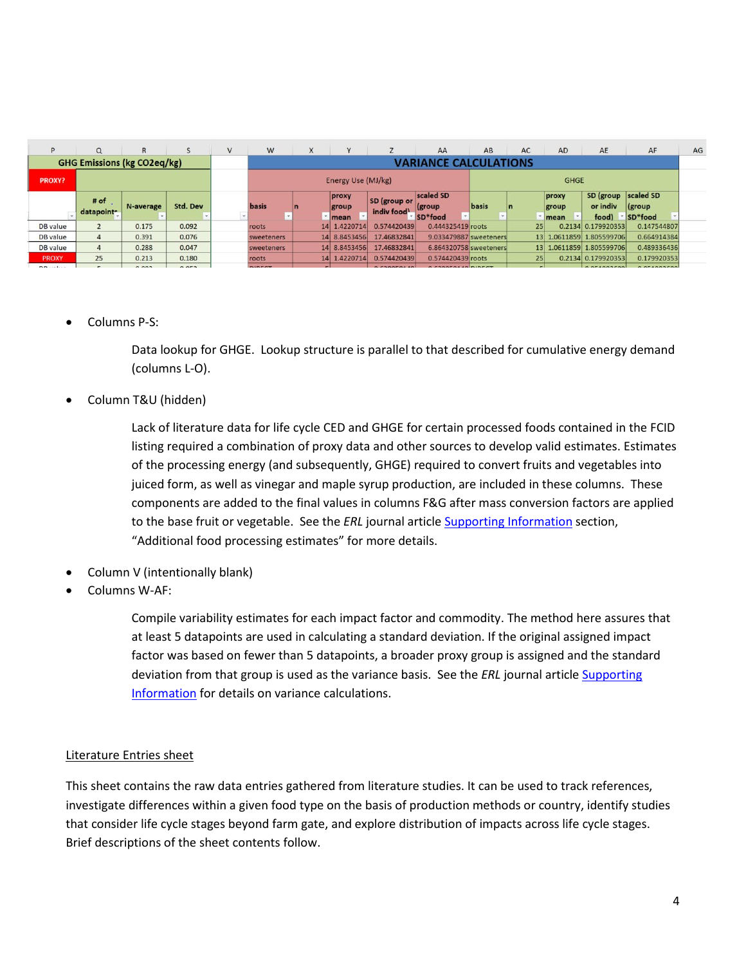| p                                  | $\Omega$           | $\mathsf{R}$            |                                | V | W                                 | X |                      |                            | AA                           | AB    | AC              | <b>AD</b>      | AE                              | AF                     | AG |
|------------------------------------|--------------------|-------------------------|--------------------------------|---|-----------------------------------|---|----------------------|----------------------------|------------------------------|-------|-----------------|----------------|---------------------------------|------------------------|----|
| <b>GHG Emissions (kg CO2eq/kg)</b> |                    |                         |                                |   | VARIANCE CALCULATIONS             |   |                      |                            |                              |       |                 |                |                                 |                        |    |
| <b>PROXY?</b>                      |                    |                         |                                |   | <b>GHGE</b><br>Energy Use (MJ/kg) |   |                      |                            |                              |       |                 |                |                                 |                        |    |
|                                    | # of<br>datapoint- | N-average               | Std. Dev                       |   | basis<br>٠                        |   | proxy<br>group       | SD (group or<br>indiv food | scaled SD<br>(group)         | basis | In              | proxy<br>group | SD (group scaled SD<br>or indiv | (group)                |    |
| DB value                           |                    |                         | 0.092                          |   |                                   |   | mean<br>14 1.4220714 | 0.574420439                | SD*food<br>0.444325419 roots |       |                 | mean           | food)<br>0.2134 0.179920353     | SD*food<br>0.147544807 |    |
|                                    |                    | 0.175                   |                                |   | roots                             |   |                      |                            |                              |       | 25 <sub>1</sub> |                |                                 |                        |    |
| DB value                           | $\mathbf{A}$       | 0.391                   | 0.076                          |   | sweeteners                        |   | 14 8.8453456         | 17.46832841                | 9.033479887 sweeteners       |       | 13              |                | 1.0611859 1.805599706           | 0.664914384            |    |
| DB value                           | $\overline{4}$     | 0.288                   | 0.047                          |   | sweeteners                        |   | 14 8.8453456         | 17.46832841                | 6.864320758 sweeteners       |       | 13              |                | 1.0611859 1.805599706           | 0.489336436            |    |
| <b>PROXY</b>                       | 25                 | 0.213                   | 0.180                          |   | roots                             |   | 14 1.4220714         | 0.574420439                | 0.574420439 roots            |       | 25 <sub>l</sub> |                | 0.2134 0.179920353              | 0.179920353            |    |
|                                    |                    | the country and country | the company's property and the |   | and the same state and states     |   |                      |                            |                              |       |                 |                |                                 |                        |    |

## • Columns P-S:

Data lookup for GHGE. Lookup structure is parallel to that described for cumulative energy demand (columns L-O).

## • Column T&U (hidden)

Lack of literature data for life cycle CED and GHGE for certain processed foods contained in the FCID listing required a combination of proxy data and other sources to develop valid estimates. Estimates of the processing energy (and subsequently, GHGE) required to convert fruits and vegetables into juiced form, as well as vinegar and maple syrup production, are included in these columns. These components are added to the final values in columns F&G after mass conversion factors are applied to the base fruit or vegetable. See the *ERL* journal article [Supporting Information](http://stacks.iop.org/ERL/13/044004/mmedia) section, "Additional food processing estimates" for more details.

- Column V (intentionally blank)
- Columns W-AF:

Compile variability estimates for each impact factor and commodity. The method here assures that at least 5 datapoints are used in calculating a standard deviation. If the original assigned impact factor was based on fewer than 5 datapoints, a broader proxy group is assigned and the standard deviation from that group is used as the variance basis. See the *ERL* journal article [Supporting](http://stacks.iop.org/ERL/13/044004/mmedia)  [Information](http://stacks.iop.org/ERL/13/044004/mmedia) for details on variance calculations.

#### Literature Entries sheet

This sheet contains the raw data entries gathered from literature studies. It can be used to track references, investigate differences within a given food type on the basis of production methods or country, identify studies that consider life cycle stages beyond farm gate, and explore distribution of impacts across life cycle stages. Brief descriptions of the sheet contents follow.